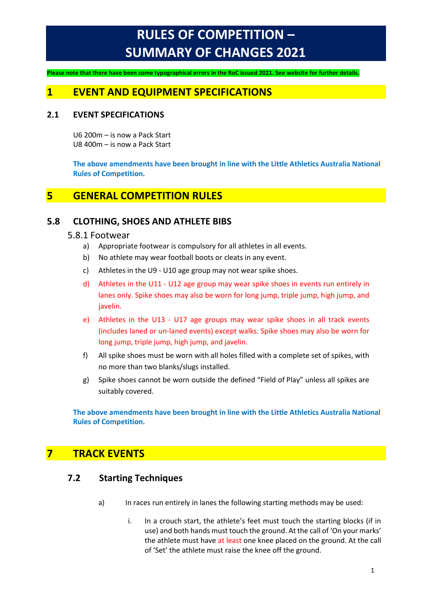# **RULES OF COMPETITION – SUMMARY OF CHANGES 2021**

**Please note that there have been some typographical errors in the RoC issued 2021. See website for further details.**

## **1 EVENT AND EQUIPMENT SPECIFICATIONS**

#### **2.1 EVENT SPECIFICATIONS**

U6 200m – is now a Pack Start U8 400m – is now a Pack Start

**The above amendments have been brought in line with the Little Athletics Australia National Rules of Competition.**

# **5 GENERAL COMPETITION RULES**

## **5.8 CLOTHING, SHOES AND ATHLETE BIBS**

#### 5.8.1 Footwear

- a) Appropriate footwear is compulsory for all athletes in all events.
- b) No athlete may wear football boots or cleats in any event.
- c) Athletes in the U9 U10 age group may not wear spike shoes.
- d) Athletes in the U11 U12 age group may wear spike shoes in events run entirely in lanes only. Spike shoes may also be worn for long jump, triple jump, high jump, and javelin.
- e) Athletes in the U13 U17 age groups may wear spike shoes in all track events (includes laned or un-laned events) except walks. Spike shoes may also be worn for long jump, triple jump, high jump, and javelin.
- f) All spike shoes must be worn with all holes filled with a complete set of spikes, with no more than two blanks/slugs installed.
- g) Spike shoes cannot be worn outside the defined "Field of Play" unless all spikes are suitably covered.

**The above amendments have been brought in line with the Little Athletics Australia National Rules of Competition.**

# **7 TRACK EVENTS**

### **7.2 Starting Techniques**

- a) In races run entirely in lanes the following starting methods may be used:
	- i. In a crouch start, the athlete's feet must touch the starting blocks (if in use) and both hands must touch the ground. At the call of 'On your marks' the athlete must have at least one knee placed on the ground. At the call of 'Set' the athlete must raise the knee off the ground.